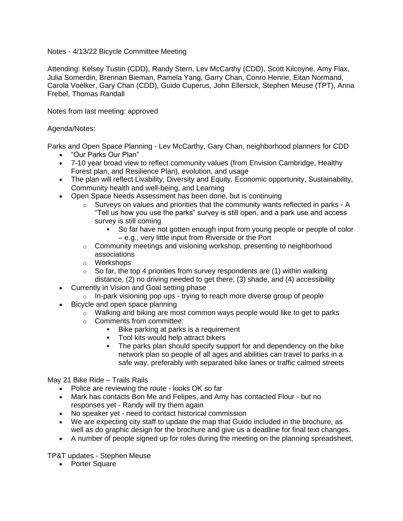## Notes - 4/13/22 Bicycle Committee Meeting

Attending: Kelsey Tustin (CDD), Randy Stern, Lev McCarthy (CDD), Scott Kilcoyne, Amy Flax, Julia Somerdin, Brennan Bieman, Pamela Yang, Garry Chan, Conro Henrie, Eitan Normand, Carola Voelker, Gary Chan (CDD), Guido Cuperus, John Ellersick, Stephen Meuse (TPT), Anna Frebel, Thomas Randall

Notes from last meeting: approved

## Agenda/Notes:

Parks and Open Space Planning - Lev McCarthy, Gary Chan, neighborhood planners for CDD

- "Our Parks Our Plan"
- 7-10 year broad view to reflect community values (from Envision Cambridge, Healthy Forest plan, and Resilience Plan), evolution, and usage
- The plan will reflect Livability, Diversity and Equity, Economic opportunity, Sustainability, Community health and well-being, and Learning
- Open Space Needs Assessment has been done, but is continuing
	- $\circ$  Surveys on values and priorities that the community wants reflected in parks A "Tell us how you use the parks" survey is still open, and a park use and access survey is still coming
		- So far have not gotten enough input from young people or people of color – e.g., very little input from Riverside or the Port
	- $\circ$  Community meetings and visioning workshop, presenting to neighborhood associations
	- o Workshops
	- $\circ$  So far, the top 4 priorities from survey respondents are (1) within walking distance, (2) no driving needed to get there, (3) shade, and (4) accessibility
- Currently in Vision and Goal setting phase
	- o In-park visioning pop ups trying to reach more diverse group of people
- Bicycle and open space planning
	- $\circ$  Walking and biking are most common ways people would like to get to parks
		- o Comments from committee:
			- Bike parking at parks is a requirement
			- Tool kits would help attract bikers
			- The parks plan should specify support for and dependency on the bike network plan so people of all ages and abilities can travel to parks in a safe way, preferably with separated bike lanes or traffic calmed streets

May 21 Bike Ride – Trails Rails

- Police are reviewing the route looks OK so far
- Mark has contacts Bon Me and Felipes, and Amy has contacted Flour but no responses yet - Randy will try them again
- No speaker yet need to contact historical commission
- We are expecting city staff to update the map that Guido included in the brochure, as well as do graphic design for the brochure and give us a deadline for final text changes.
- A number of people signed up for roles during the meeting on the planning spreadsheet,

TP&T updates - Stephen Meuse

• Porter Square